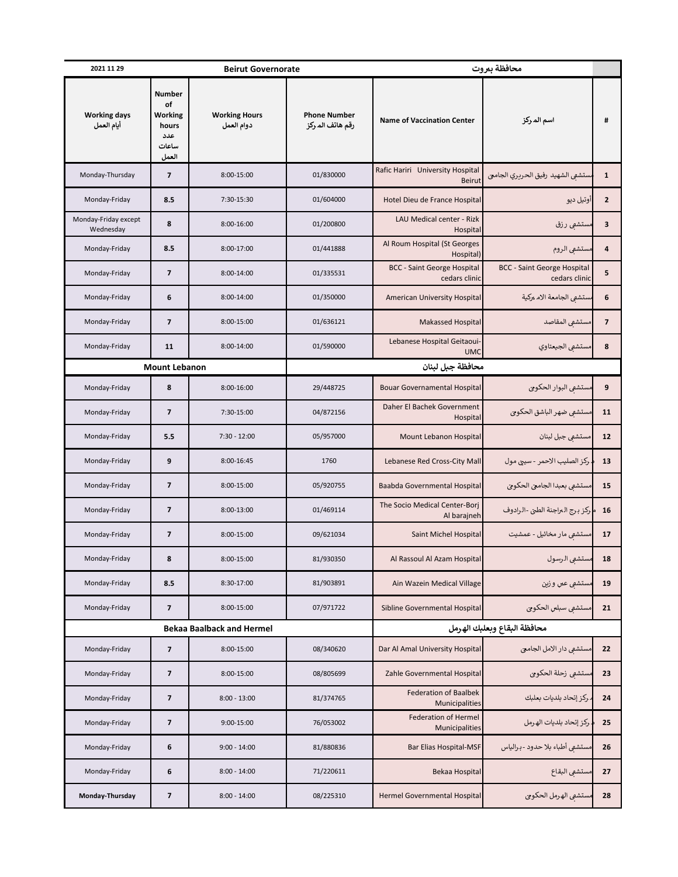| 2021 11 29                        |                                                                  | <b>Beirut Governorate</b>          |                                         | محافظة بيروت                                        |                                                     |                          |
|-----------------------------------|------------------------------------------------------------------|------------------------------------|-----------------------------------------|-----------------------------------------------------|-----------------------------------------------------|--------------------------|
| <b>Working days</b><br>أيام العمل | <b>Number</b><br>of<br>Working<br>hours<br>عدد<br>ساعات<br>العمل | <b>Working Hours</b><br>دوام العمل | <b>Phone Number</b><br>رقم هاتف الم ركز | <b>Name of Vaccination Center</b>                   | اسم المركز                                          | #                        |
| Monday-Thursday                   | $\overline{\phantom{a}}$                                         | 8:00-15:00                         | 01/830000                               | Rafic Hariri University Hospital<br><b>Beirut</b>   | سستشفى الشهيد رفيق الحردري الجامع                   | $\mathbf{1}$             |
| Monday-Friday                     | 8.5                                                              | 7:30-15:30                         | 01/604000                               | Hotel Dieu de France Hospital                       | آوتيل ديو                                           | $\overline{2}$           |
| Monday-Friday except<br>Wednesday | 8                                                                | $8:00-16:00$                       | 01/200800                               | LAU Medical center - Rizk<br>Hospital               | مستشعى رزق                                          | 3                        |
| Monday-Friday                     | 8.5                                                              | 8:00-17:00                         | 01/441888                               | Al Roum Hospital (St Georges<br>Hospital)           | مستشفى الروم                                        | 4                        |
| Monday-Friday                     | $\overline{\phantom{a}}$                                         | 8:00-14:00                         | 01/335531                               | <b>BCC - Saint George Hospital</b><br>cedars clinic | <b>BCC - Saint George Hospital</b><br>cedars clinic | 5                        |
| Monday-Friday                     | 6                                                                | 8:00-14:00                         | 01/350000                               | American University Hospital                        | مستشفى الجامعة الام مركية                           | 6                        |
| Monday-Friday                     | $\overline{\phantom{a}}$                                         | 8:00-15:00                         | 01/636121                               | <b>Makassed Hospital</b>                            | مستشعى المقاصد                                      | $\overline{\phantom{a}}$ |
| Monday-Friday                     | 11                                                               | 8:00-14:00                         | 01/590000                               | Lebanese Hospital Geitaoui-<br><b>UMC</b>           | مستشفى الجيعتاوي                                    | 8                        |
| <b>Mount Lebanon</b>              |                                                                  |                                    | محافظة جبل لبنان                        |                                                     |                                                     |                          |
| Monday-Friday                     | 8                                                                | 8:00-16:00                         | 29/448725                               | <b>Bouar Governamental Hospital</b>                 | مستشفى البوار الحكومى                               | 9                        |
| Monday-Friday                     | $\overline{7}$                                                   | 7:30-15:00                         | 04/872156                               | Daher El Bachek Government<br>Hospital              | مستشفى ضهر الباشق الحكوجى                           | 11                       |
| Monday-Friday                     | 5.5                                                              | $7:30 - 12:00$                     | 05/957000                               | Mount Lebanon Hospital                              | مستشفي جبل لبنان                                    | 12                       |
| Monday-Friday                     | 9                                                                | 8:00-16:45                         | 1760                                    | Lebanese Red Cross-City Mall                        | . ركز الصليب الاحمر - سيج مول                       | 13                       |
| Monday-Friday                     | $\overline{\phantom{a}}$                                         | 8:00-15:00                         | 05/920755                               | Baabda Governmental Hospital                        | مستشفى بعبدا الجامحي الحكومي                        | 15                       |
| Monday-Friday                     | $\overline{\mathbf{z}}$                                          | 8:00-13:00                         | 01/469114                               | The Socio Medical Center-Borj<br>Al barajneh        | ء ركز برج البراجنة الطبي -الرادوف                   | 16                       |
| Monday-Friday                     | 7                                                                | 8:00-15:00                         | 09/621034                               | Saint Michel Hospital                               | مستشعی مار مخائیل - عمشیت                           | 17                       |
| Monday-Friday                     | 8                                                                | 8:00-15:00                         | 81/930350                               | Al Rassoul Al Azam Hospital                         | مستشبى الرسول                                       | 18                       |
| Monday-Friday                     | 8.5                                                              | 8:30-17:00                         | 81/903891                               | Ain Wazein Medical Village                          | مستشفى عس وزين                                      | 19                       |
| Monday-Friday                     | 7                                                                | 8:00-15:00                         | 07/971722                               | Sibline Governmental Hospital                       | مستشفى سبلس الحكوجي                                 | 21                       |
|                                   |                                                                  | <b>Bekaa Baalback and Hermel</b>   |                                         | محافظة البقاع وبعلبك الهرمل                         |                                                     |                          |
| Monday-Friday                     | $\overline{\mathbf{z}}$                                          | 8:00-15:00                         | 08/340620                               | Dar Al Amal University Hospital                     | مستشفى دار الامل الجامع                             | 22                       |
| Monday-Friday                     | $\overline{\phantom{a}}$                                         | 8:00-15:00                         | 08/805699                               | Zahle Governmental Hospital                         | مستشفى زحلة الحكومي                                 | 23                       |
| Monday-Friday                     | $\overline{\phantom{a}}$                                         | $8:00 - 13:00$                     | 81/374765                               | <b>Federation of Baalbek</b><br>Municipalities      | . ركز إتحاد بلديات بعلبك                            | 24                       |
| Monday-Friday                     | $\overline{\mathbf{z}}$                                          | 9:00-15:00                         | 76/053002                               | <b>Federation of Hermel</b><br>Municipalities       | . ركز إتحاد بلديات الهرمل                           | 25                       |
| Monday-Friday                     | 6                                                                | $9:00 - 14:00$                     | 81/880836                               | <b>Bar Elias Hospital-MSF</b>                       | مستشفى أطباء بلا حدود -برالياس                      | 26                       |
| Monday-Friday                     | 6                                                                | $8:00 - 14:00$                     | 71/220611                               | Bekaa Hospital                                      | مستشفى البقاع                                       | 27                       |
| Monday-Thursday                   | $\overline{\textbf{z}}$                                          | $8:00 - 14:00$                     | 08/225310                               | <b>Hermel Governmental Hospital</b>                 | مستشفى الهرمل الحكومى                               | 28                       |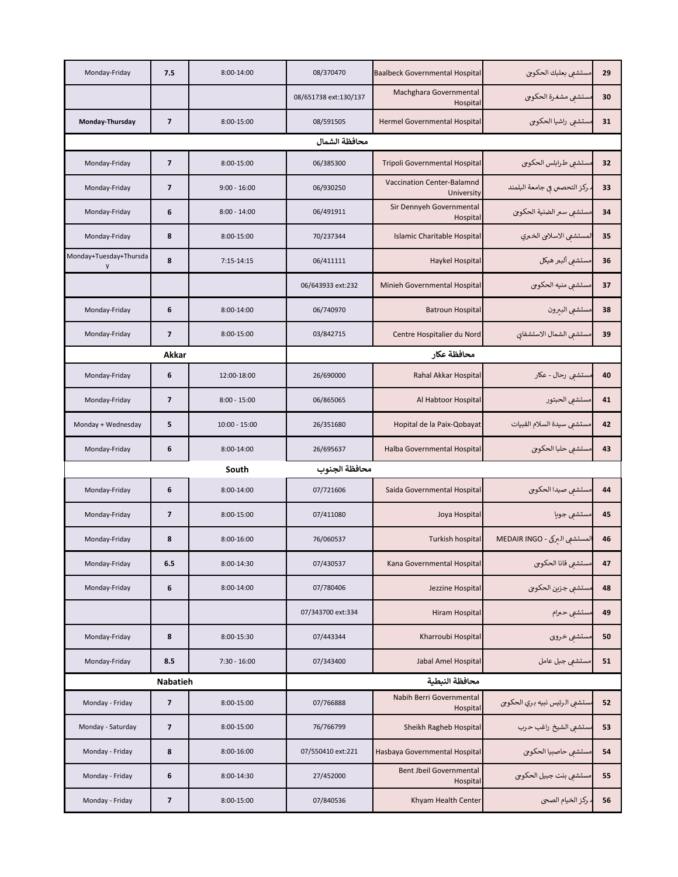| Monday-Friday               | 7.5                      | 8:00-14:00      | 08/370470             | <b>Baalbeck Governmental Hospital</b>      | مستشفى بعلبك الحكومى          | 29 |  |
|-----------------------------|--------------------------|-----------------|-----------------------|--------------------------------------------|-------------------------------|----|--|
|                             |                          |                 | 08/651738 ext:130/137 | Machghara Governmental<br>Hospital         | سستشفى مشغرة الحكومي          | 30 |  |
| Monday-Thursday             | 7                        | 8:00-15:00      | 08/591505             | Hermel Governmental Hospital               | مستشفى راشيا الحكومى          | 31 |  |
|                             |                          |                 | محافظة الشمال         |                                            |                               |    |  |
| Monday-Friday               | $\overline{\phantom{a}}$ | 8:00-15:00      | 06/385300             | Tripoli Governmental Hospital              | مستشفى طرابلس الحكومى         | 32 |  |
| Monday-Friday               | 7                        | $9:00 - 16:00$  | 06/930250             | Vaccination Center-Balamnd<br>University   | . ركز التحصس في جامعة البلمند | 33 |  |
| Monday-Friday               | 6                        | $8:00 - 14:00$  | 06/491911             | Sir Dennyeh Governmental<br>Hospital       | مستشفى سمر الضنية الحكومى     | 34 |  |
| Monday-Friday               | 8                        | 8:00-15:00      | 70/237344             | Islamic Charitable Hospital                | المستشفى الاسلامي الخمري      | 35 |  |
| Monday+Tuesday+Thursda<br>y | 8                        | 7:15-14:15      | 06/411111             | Haykel Hospital                            | مستشفى ألبمر هيكل             | 36 |  |
|                             |                          |                 | 06/643933 ext:232     | Minieh Governmental Hospital               | مستشفى منيه الحكومي           | 37 |  |
| Monday-Friday               | 6                        | 8:00-14:00      | 06/740970             | <b>Batroun Hospital</b>                    | مستشفى البيرون                | 38 |  |
| Monday-Friday               | 7                        | 8:00-15:00      | 03/842715             | Centre Hospitalier du Nord                 | مستشفى الشمال الاستشفاني      | 39 |  |
| Akkar                       |                          |                 | محافظة عكار           |                                            |                               |    |  |
| Monday-Friday               | 6                        | 12:00-18:00     | 26/690000             | Rahal Akkar Hospital                       | مستشفی رحال - عکار            | 40 |  |
| Monday-Friday               | 7                        | $8:00 - 15:00$  | 06/865065             | Al Habtoor Hospital                        | مستشفى الحبتور                | 41 |  |
| Monday + Wednesday          | 5                        | $10:00 - 15:00$ | 26/351680             | Hopital de la Paix-Qobayat                 | مستشفى سيدة السلام القبيات    | 42 |  |
| Monday-Friday               | 6                        | 8:00-14:00      | 26/695637             | Halba Governmental Hospital                | مستشفى حلبا الحكومى           | 43 |  |
|                             |                          | South           | محافظة الجنوب         |                                            |                               |    |  |
| Monday-Friday               | 6                        | 8:00-14:00      | 07/721606             | Saida Governmental Hospital                | مستشفى صيدا الحكومي           | 44 |  |
| Monday-Friday               | $\overline{\phantom{a}}$ | 8:00-15:00      | 07/411080             | Joya Hospital                              | مستشفى جويا                   | 45 |  |
| Monday-Friday               | 8                        | 8:00-16:00      | 76/060537             | Turkish hospital                           | المستشفى البركى - MEDAIR INGO | 46 |  |
| Monday-Friday               | 6.5                      | 8:00-14:30      | 07/430537             | Kana Governmental Hospital                 | مستشفى قانا الحكومي           | 47 |  |
| Monday-Friday               | 6                        | 8:00-14:00      | 07/780406             | Jezzine Hospital                           | مستشفى جزين الحكوى            | 48 |  |
|                             |                          |                 | 07/343700 ext:334     | <b>Hiram Hospital</b>                      | مستشفى حمرام                  | 49 |  |
| Monday-Friday               | 8                        | 8:00-15:30      | 07/443344             | Kharroubi Hospital                         | مستشفي خروبى                  | 50 |  |
| Monday-Friday               | 8.5                      | $7:30 - 16:00$  | 07/343400             | Jabal Amel Hospital                        | مستشفي جبل عامل               | 51 |  |
|                             |                          |                 |                       |                                            |                               |    |  |
|                             | <b>Nabatieh</b>          |                 |                       | محافظة النبطية                             |                               |    |  |
| Monday - Friday             | $\overline{\mathbf{z}}$  | 8:00-15:00      | 07/766888             | Nabih Berri Governmental<br>Hospital       | ستشفى الرئيس نبيه بري الحكومي | 52 |  |
| Monday - Saturday           | $\overline{\phantom{a}}$ | 8:00-15:00      | 76/766799             | Sheikh Ragheb Hospital                     | ستشفى الشيخ راغب حرب          | 53 |  |
| Monday - Friday             | 8                        | 8:00-16:00      | 07/550410 ext:221     | Hasbaya Governmental Hospital              | مستشفى حاصبيا الحكوى          | 54 |  |
| Monday - Friday             | 6                        | 8:00-14:30      | 27/452000             | <b>Bent Jbeil Governmental</b><br>Hospital | مستشفى بنت جبيل الحكومى       | 55 |  |